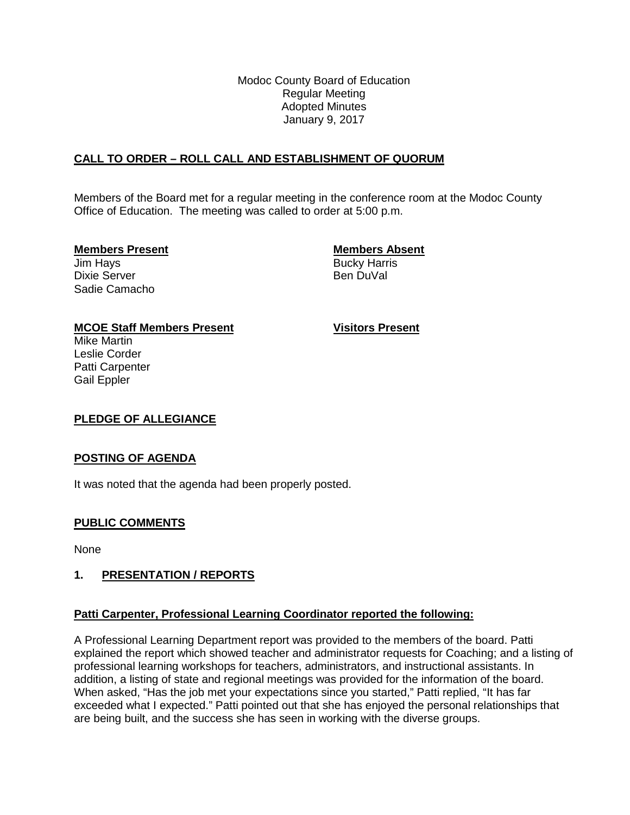Modoc County Board of Education Regular Meeting Adopted Minutes January 9, 2017

# **CALL TO ORDER – ROLL CALL AND ESTABLISHMENT OF QUORUM**

Members of the Board met for a regular meeting in the conference room at the Modoc County Office of Education. The meeting was called to order at 5:00 p.m.

## **Members Present Members Absent**

Jim Hays **Bucky Harris** Bucky Harris Dixie Server **Ben DuVal** Sadie Camacho

## **MCOE Staff Members Present Visitors Present**

Mike Martin Leslie Corder Patti Carpenter Gail Eppler

## **PLEDGE OF ALLEGIANCE**

## **POSTING OF AGENDA**

It was noted that the agenda had been properly posted.

## **PUBLIC COMMENTS**

None

## **1. PRESENTATION / REPORTS**

#### **Patti Carpenter, Professional Learning Coordinator reported the following:**

A Professional Learning Department report was provided to the members of the board. Patti explained the report which showed teacher and administrator requests for Coaching; and a listing of professional learning workshops for teachers, administrators, and instructional assistants. In addition, a listing of state and regional meetings was provided for the information of the board. When asked, "Has the job met your expectations since you started," Patti replied, "It has far exceeded what I expected." Patti pointed out that she has enjoyed the personal relationships that are being built, and the success she has seen in working with the diverse groups.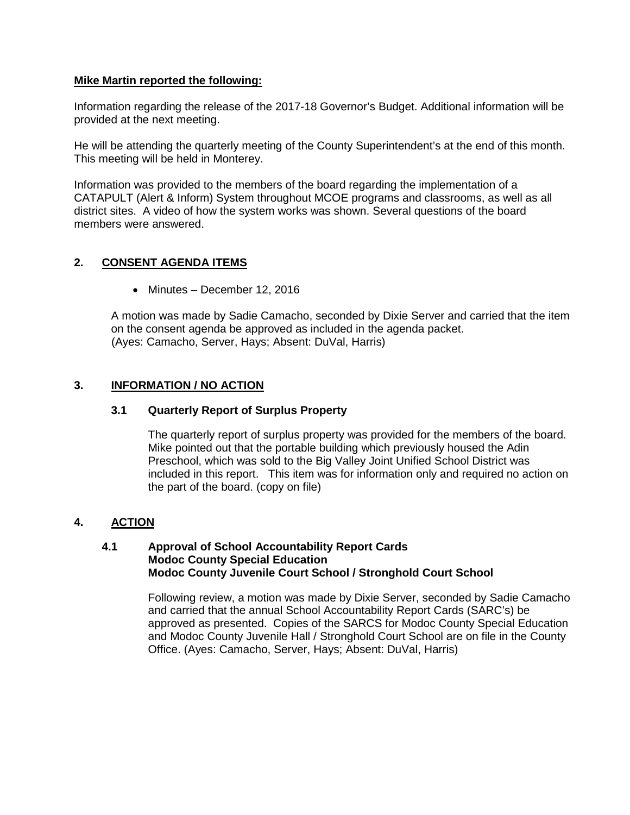### **Mike Martin reported the following:**

Information regarding the release of the 2017-18 Governor's Budget. Additional information will be provided at the next meeting.

He will be attending the quarterly meeting of the County Superintendent's at the end of this month. This meeting will be held in Monterey.

Information was provided to the members of the board regarding the implementation of a CATAPULT (Alert & Inform) System throughout MCOE programs and classrooms, as well as all district sites. A video of how the system works was shown. Several questions of the board members were answered.

# **2. CONSENT AGENDA ITEMS**

• Minutes – December 12, 2016

A motion was made by Sadie Camacho, seconded by Dixie Server and carried that the item on the consent agenda be approved as included in the agenda packet. (Ayes: Camacho, Server, Hays; Absent: DuVal, Harris)

## **3. INFORMATION / NO ACTION**

## **3.1 Quarterly Report of Surplus Property**

The quarterly report of surplus property was provided for the members of the board. Mike pointed out that the portable building which previously housed the Adin Preschool, which was sold to the Big Valley Joint Unified School District was included in this report. This item was for information only and required no action on the part of the board. (copy on file)

## **4. ACTION**

#### **4.1 Approval of School Accountability Report Cards Modoc County Special Education Modoc County Juvenile Court School / Stronghold Court School**

Following review, a motion was made by Dixie Server, seconded by Sadie Camacho and carried that the annual School Accountability Report Cards (SARC's) be approved as presented. Copies of the SARCS for Modoc County Special Education and Modoc County Juvenile Hall / Stronghold Court School are on file in the County Office. (Ayes: Camacho, Server, Hays; Absent: DuVal, Harris)